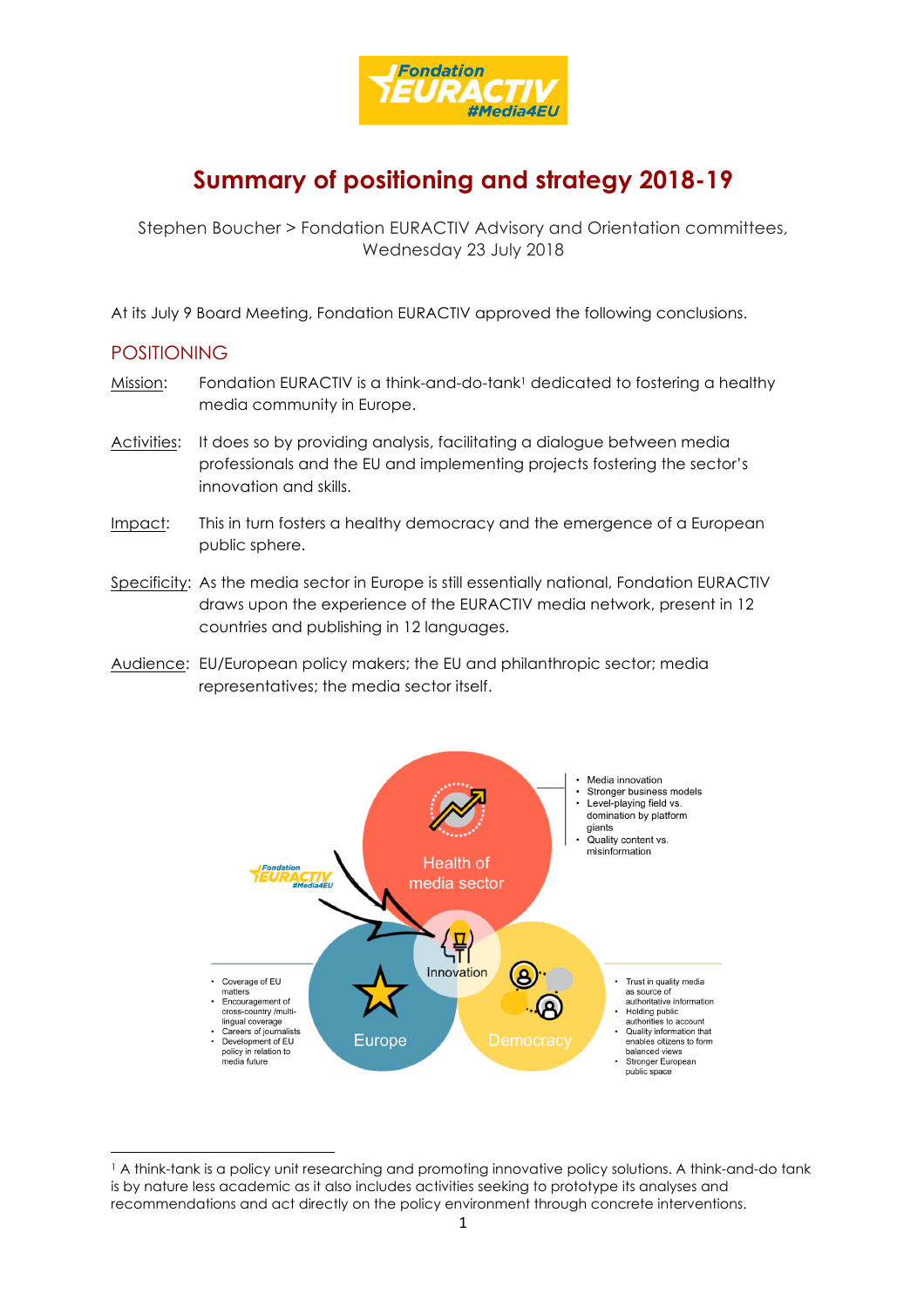

## **Summary of positioning and strategy 2018-19**

Stephen Boucher > Fondation EURACTIV Advisory and Orientation committees, Wednesday 23 July 2018

At its July 9 Board Meeting, Fondation EURACTIV approved the following conclusions.

## POSITIONING

<u> 1989 - Jan Samuel Barbara, político establecido de la provincia de la provincia de la provincia de la provinci</u>

- Mission: Fondation EURACTIV is a think-and-do-tank<sup>1</sup> dedicated to fostering a healthy media community in Europe.
- Activities: It does so by providing analysis, facilitating a dialogue between media professionals and the EU and implementing projects fostering the sector's innovation and skills.
- Impact: This in turn fosters a healthy democracy and the emergence of a European public sphere.
- Specificity: As the media sector in Europe is still essentially national, Fondation EURACTIV draws upon the experience of the EURACTIV media network, present in 12 countries and publishing in 12 languages.
- Audience: EU/European policy makers; the EU and philanthropic sector; media representatives; the media sector itself.



<sup>1</sup> A think-tank is a policy unit researching and promoting innovative policy solutions. A think-and-do tank is by nature less academic as it also includes activities seeking to prototype its analyses and recommendations and act directly on the policy environment through concrete interventions.